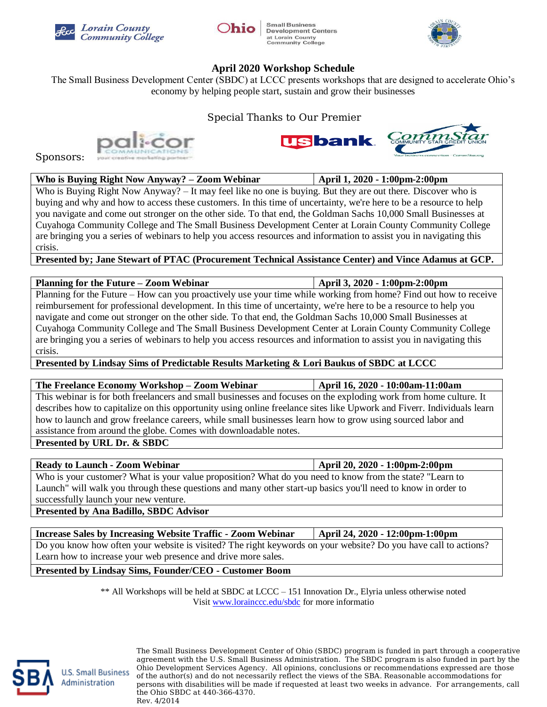



**Small Business Development Centers** at Lorain County<br>Community College



## **April 2020 Workshop Schedule**

The Small Business Development Center (SBDC) at LCCC presents workshops that are designed to accelerate Ohio's economy by helping people start, sustain and grow their businesses

Special Thanks to Our Premier





Sponsors:

| Who is Buying Right Now Anyway? – Zoom Webinar | $\vert$ April 1, 2020 - 1:00pm-2:00pm |
|------------------------------------------------|---------------------------------------|
|                                                |                                       |

Who is Buying Right Now Anyway? – It may feel like no one is buying. But they are out there. Discover who is buying and why and how to access these customers. In this time of uncertainty, we're here to be a resource to help you navigate and come out stronger on the other side. To that end, the Goldman Sachs 10,000 Small Businesses at Cuyahoga Community College and The Small Business Development Center at Lorain County Community College are bringing you a series of webinars to help you access resources and information to assist you in navigating this crisis.

**Presented by; Jane Stewart of PTAC (Procurement Technical Assistance Center) and Vince Adamus at GCP.**

| Planning for the Future – Zoom Webinar                                                                              | April 3, 2020 - 1:00pm-2:00pm |  |
|---------------------------------------------------------------------------------------------------------------------|-------------------------------|--|
| Planning for the Future – How can you proactively use your time while working from home? Find out how to receive    |                               |  |
| reimbursement for professional development. In this time of uncertainty, we're here to be a resource to help you    |                               |  |
| navigate and come out stronger on the other side. To that end, the Goldman Sachs 10,000 Small Businesses at         |                               |  |
| Cuyahoga Community College and The Small Business Development Center at Lorain County Community College             |                               |  |
| are bringing you a series of webinars to help you access resources and information to assist you in navigating this |                               |  |
| crisis.                                                                                                             |                               |  |
| Presented by Lindsay Sims of Predictable Results Marketing & Lori Baukus of SBDC at LCCC                            |                               |  |

**Presented by Lindsay Sims of Predictable Results Marketing & Lori Baukus of SBDC at LCCC**

## **The Freelance Economy Workshop – Zoom Webinar April 16, 2020 - 10:00am-11:00am**

This webinar is for both freelancers and small businesses and focuses on the exploding work from home culture. It describes how to capitalize on this opportunity using online freelance sites like Upwork and Fiverr. Individuals learn how to launch and grow freelance careers, while small businesses learn how to grow using sourced labor and assistance from around the globe. Comes with downloadable notes.

**Presented by URL Dr. & SBDC**

## **Ready to Launch - Zoom Webinar April 20, 2020 - 1:00pm-2:00pm**

Who is your customer? What is your value proposition? What do you need to know from the state? "Learn to Launch" will walk you through these questions and many other start-up basics you'll need to know in order to successfully launch your new venture.

**Presented by Ana Badillo, SBDC Advisor**

**Increase Sales by Increasing Website Traffic - Zoom Webinar April 24, 2020 - 12:00pm-1:00pm** Do you know how often your website is visited? The right keywords on your website? Do you have call to actions? Learn how to increase your web presence and drive more sales.

**Presented by Lindsay Sims, Founder/CEO - Customer Boom**

\*\* All Workshops will be held at SBDC at LCCC – 151 Innovation Dr., Elyria unless otherwise noted Visit [www.lorainccc.edu/sbdc](http://www.lorainccc.edu/sbdc) for more informatio



**U.S. Small Business** Administration

The Small Business Development Center of Ohio (SBDC) program is funded in part through a cooperative agreement with the U.S. Small Business Administration. The SBDC program is also funded in part by the Ohio Development Services Agency. All opinions, conclusions or recommendations expressed are those of the author(s) and do not necessarily reflect the views of the SBA. Reasonable accommodations for persons with disabilities will be made if requested at least two weeks in advance. For arrangements, call the Ohio SBDC at 440-366-4370. Rev. 4/2014